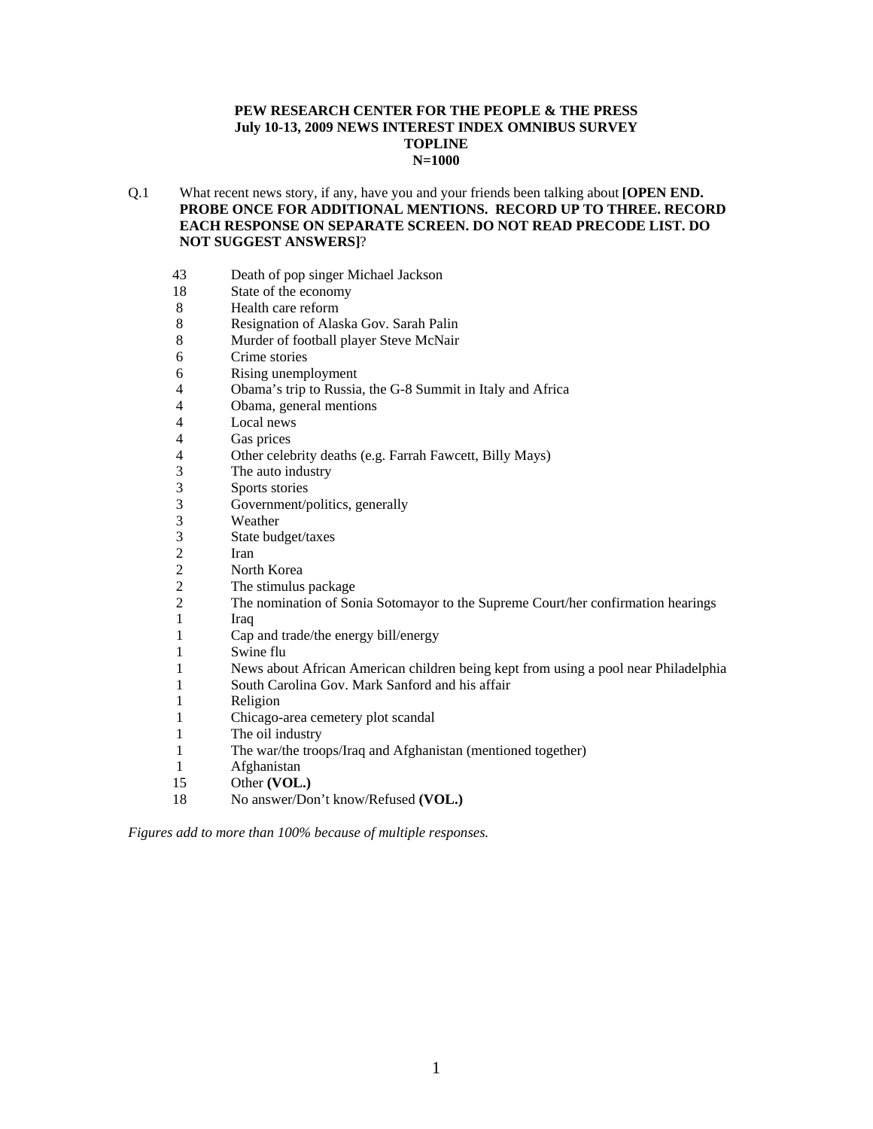#### **PEW RESEARCH CENTER FOR THE PEOPLE & THE PRESS July 10-13, 2009 NEWS INTEREST INDEX OMNIBUS SURVEY TOPLINE N=1000**

- Q.1 What recent news story, if any, have you and your friends been talking about **[OPEN END. PROBE ONCE FOR ADDITIONAL MENTIONS. RECORD UP TO THREE. RECORD EACH RESPONSE ON SEPARATE SCREEN. DO NOT READ PRECODE LIST. DO NOT SUGGEST ANSWERS]**?
	- 43 Death of pop singer Michael Jackson<br>18 State of the economy
	- State of the economy
	- 8 Health care reform
	- 8 Resignation of Alaska Gov. Sarah Palin
	- 8 Murder of football player Steve McNair
	- 6 Crime stories
	- 6 Rising unemployment
	- 4 Obama's trip to Russia, the G-8 Summit in Italy and Africa
	- 4 Obama, general mentions
	- 4 Local news<br>4 Gas prices
	- 4 Gas prices<br>4 Other celeb
	- Other celebrity deaths (e.g. Farrah Fawcett, Billy Mays)
	- 3 The auto industry<br>3 Sports stories
	- 3 Sports stories<br>3 Government/r
	- Government/politics, generally
	- 3 Weather<br>3 State buc
	- 3 State budget/taxes
	- **Iran**
	- 2 North Korea<br>2 The stimulus
	- The stimulus package
	- 2 The nomination of Sonia Sotomayor to the Supreme Court/her confirmation hearings
	- 1 Iraq
	- 1 Cap and trade/the energy bill/energy
	- 1 Swine flu
	- 1 News about African American children being kept from using a pool near Philadelphia
	- 1 South Carolina Gov. Mark Sanford and his affair
	- 1 Religion
	- 1 Chicago-area cemetery plot scandal
	- 1 The oil industry
	- 1 The war/the troops/Iraq and Afghanistan (mentioned together)
	- 1 Afghanistan
	- 15 Other **(VOL.)**
	- 18 No answer/Don't know/Refused **(VOL.)**

*Figures add to more than 100% because of multiple responses.*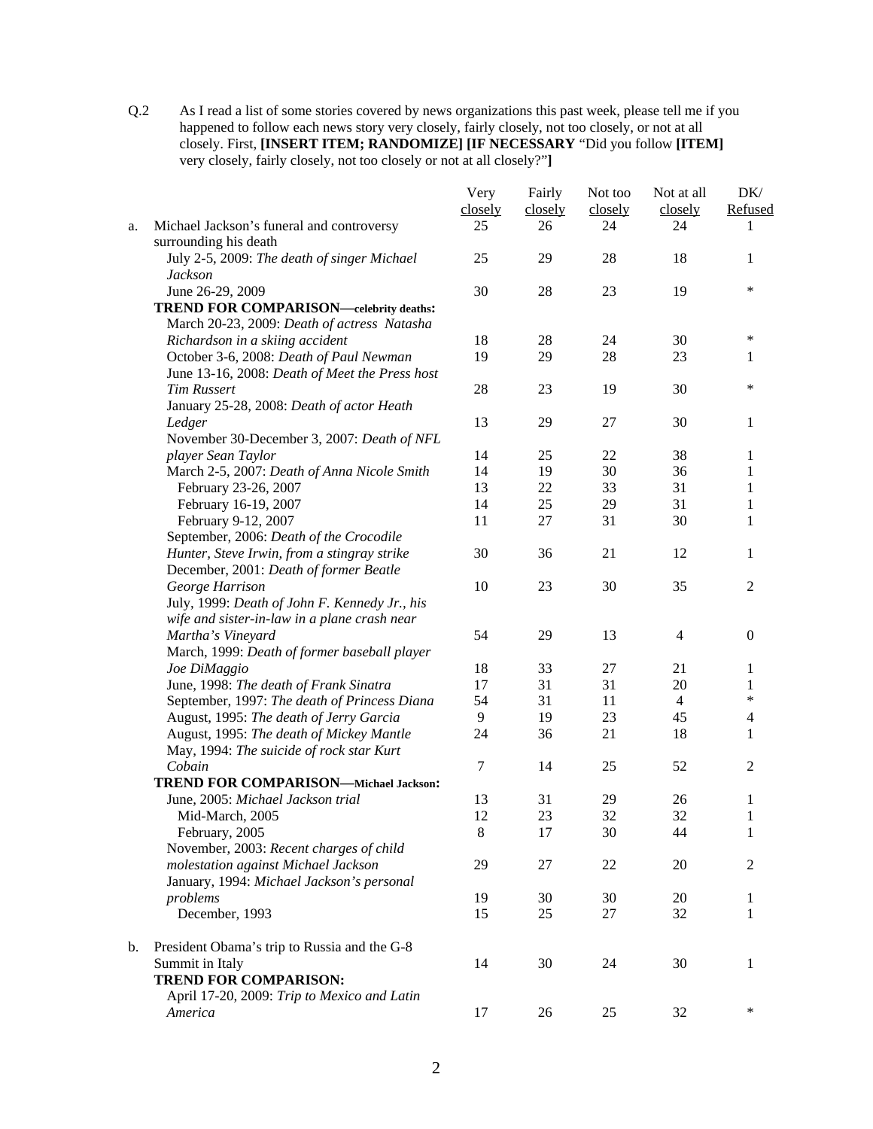Q.2 As I read a list of some stories covered by news organizations this past week, please tell me if you happened to follow each news story very closely, fairly closely, not too closely, or not at all closely. First, **[INSERT ITEM; RANDOMIZE] [IF NECESSARY** "Did you follow **[ITEM]**  very closely, fairly closely, not too closely or not at all closely?"**]** 

|    |                                                                    | Very     | Fairly  | Not too  | Not at all     | DK/            |
|----|--------------------------------------------------------------------|----------|---------|----------|----------------|----------------|
|    |                                                                    | closely  | closely | closely  | closely        | Refused        |
| a. | Michael Jackson's funeral and controversy<br>surrounding his death | 25       | 26      | 24       | 24             | 1              |
|    | July 2-5, 2009: The death of singer Michael                        | 25       | 29      | 28       | 18             | 1              |
|    | <b>Jackson</b>                                                     |          |         |          |                |                |
|    | June 26-29, 2009                                                   | 30       | 28      | 23       | 19             | $\ast$         |
|    | <b>TREND FOR COMPARISON—celebrity deaths:</b>                      |          |         |          |                |                |
|    | March 20-23, 2009: Death of actress Natasha                        |          |         |          |                |                |
|    | Richardson in a skiing accident                                    | 18       | 28      | 24       | 30             | ∗              |
|    | October 3-6, 2008: Death of Paul Newman                            | 19       | 29      | 28       | 23             | 1              |
|    | June 13-16, 2008: Death of Meet the Press host                     |          |         |          |                |                |
|    | <b>Tim Russert</b>                                                 | 28       | 23      | 19       | 30             | $\ast$         |
|    | January 25-28, 2008: Death of actor Heath                          |          |         |          |                |                |
|    | Ledger                                                             | 13       | 29      | 27       | 30             | 1              |
|    | November 30-December 3, 2007: Death of NFL                         |          |         |          |                |                |
|    | player Sean Taylor                                                 | 14       | 25      | 22       | 38             | 1              |
|    | March 2-5, 2007: Death of Anna Nicole Smith                        | 14       | 19      | 30       | 36             | 1              |
|    | February 23-26, 2007                                               | 13       | 22      | 33       | 31             | 1              |
|    | February 16-19, 2007                                               | 14       | 25      | 29       | 31             | 1              |
|    | February 9-12, 2007                                                | 11       | 27      | 31       | 30             | 1              |
|    | September, 2006: Death of the Crocodile                            |          |         |          |                |                |
|    | Hunter, Steve Irwin, from a stingray strike                        | 30       | 36      | 21       | 12             | 1              |
|    | December, 2001: Death of former Beatle                             |          |         |          |                |                |
|    | George Harrison                                                    | 10       | 23      | 30       | 35             | $\mathbf{2}$   |
|    | July, 1999: Death of John F. Kennedy Jr., his                      |          |         |          |                |                |
|    |                                                                    |          |         |          |                |                |
|    | wife and sister-in-law in a plane crash near                       | 54       | 29      | 13       | $\overline{4}$ | $\overline{0}$ |
|    | Martha's Vineyard                                                  |          |         |          |                |                |
|    | March, 1999: Death of former baseball player                       | 18       | 33      |          | 21             |                |
|    | Joe DiMaggio                                                       |          | 31      | 27<br>31 |                | 1              |
|    | June, 1998: The death of Frank Sinatra                             | 17<br>54 |         |          | 20             | 1<br>$\ast$    |
|    | September, 1997: The death of Princess Diana                       |          | 31      | 11       | $\overline{4}$ |                |
|    | August, 1995: The death of Jerry Garcia                            | 9        | 19      | 23       | 45             | 4              |
|    | August, 1995: The death of Mickey Mantle                           | 24       | 36      | 21       | 18             | 1              |
|    | May, 1994: The suicide of rock star Kurt<br>Cobain                 | $\tau$   | 14      | 25       | 52             | $\overline{2}$ |
|    | TREND FOR COMPARISON-Michael Jackson:                              |          |         |          |                |                |
|    | June, 2005: Michael Jackson trial                                  | 13       | 31      | 29       | 26             |                |
|    |                                                                    | 12       | 23      | 32       | 32             | 1              |
|    | Mid-March, 2005                                                    |          |         |          |                | $\mathbf{1}$   |
|    | February, 2005                                                     | $\,8\,$  | 17      | 30       | 44             | 1              |
|    | November, 2003: Recent charges of child                            |          |         |          |                |                |
|    | molestation against Michael Jackson                                | 29       | 27      | 22       | 20             | 2              |
|    | January, 1994: Michael Jackson's personal                          |          |         |          |                |                |
|    | problems                                                           | 19       | 30      | 30       | 20             | 1              |
|    | December, 1993                                                     | 15       | 25      | 27       | 32             | 1              |
| b. | President Obama's trip to Russia and the G-8                       |          |         |          |                |                |
|    | Summit in Italy                                                    | 14       | 30      | 24       | 30             | 1              |
|    | <b>TREND FOR COMPARISON:</b>                                       |          |         |          |                |                |
|    | April 17-20, 2009: Trip to Mexico and Latin                        |          |         |          |                |                |
|    | America                                                            | 17       | 26      | 25       | 32             | $\ast$         |
|    |                                                                    |          |         |          |                |                |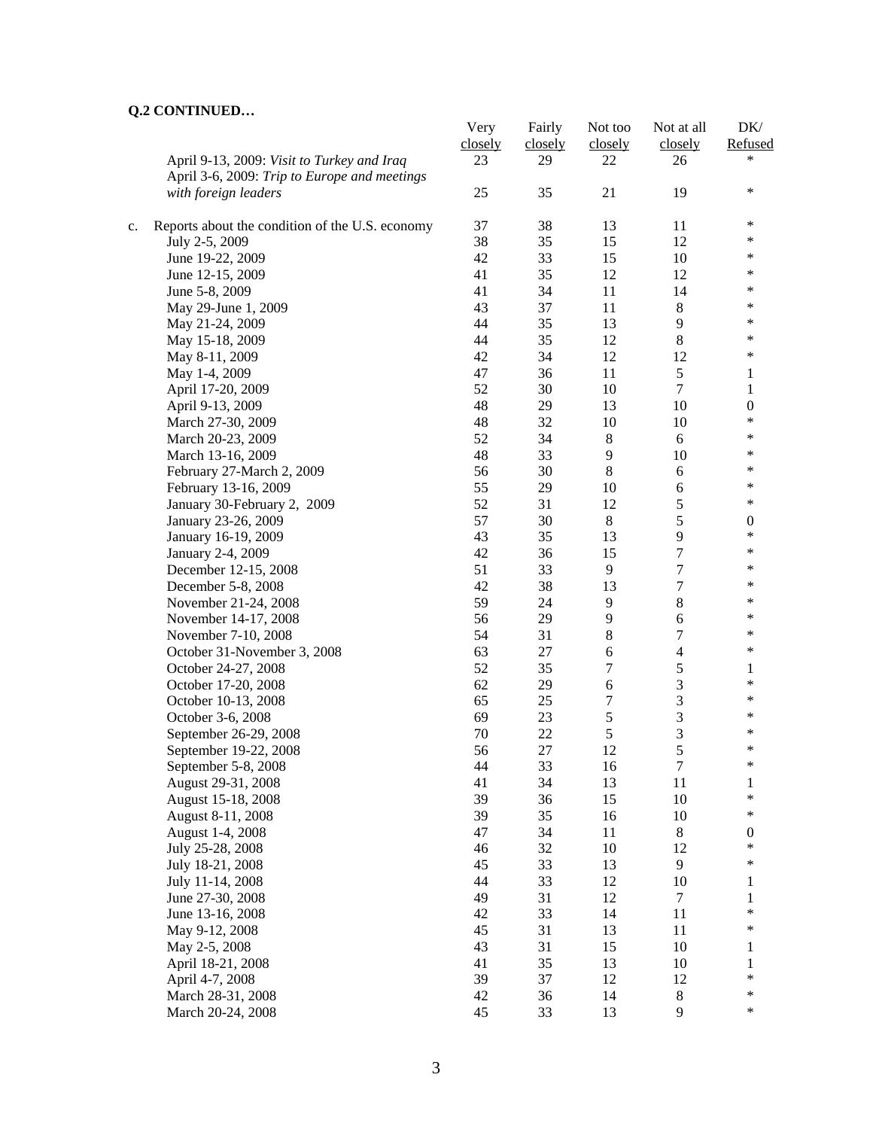## **Q.2 CONTINUED…**

|    |                                                 | Very    | Fairly  | Not too          | Not at all       | DK/                    |
|----|-------------------------------------------------|---------|---------|------------------|------------------|------------------------|
|    |                                                 | closely | closely | closely          | closely          | Refused                |
|    | April 9-13, 2009: Visit to Turkey and Iraq      | 23      | 29      | 22               | 26               | $\ast$                 |
|    | April 3-6, 2009: Trip to Europe and meetings    |         |         |                  |                  |                        |
|    | with foreign leaders                            | 25      | 35      | 21               | 19               | $\ast$                 |
|    |                                                 |         |         |                  |                  |                        |
| c. | Reports about the condition of the U.S. economy | 37      | 38      | 13               | 11               | ∗                      |
|    | July 2-5, 2009                                  | 38      | 35      | 15               | 12               | $\ast$                 |
|    | June 19-22, 2009                                | 42      | 33      | 15               | 10               | $\ast$                 |
|    | June 12-15, 2009                                | 41      | 35      | 12               | 12               | $\ast$                 |
|    | June 5-8, 2009                                  | 41      | 34      | 11               | 14               | $\ast$                 |
|    | May 29-June 1, 2009                             | 43      | 37      | 11               | $8\,$            | $\ast$                 |
|    | May 21-24, 2009                                 | 44      | 35      | 13               | 9                | $\ast$                 |
|    | May 15-18, 2009                                 | 44      | 35      | 12               | $8\,$            | $\ast$                 |
|    | May 8-11, 2009                                  | 42      | 34      | 12               | 12               | $\ast$                 |
|    | May 1-4, 2009                                   | 47      | 36      | 11               | 5                | 1                      |
|    | April 17-20, 2009                               | 52      | 30      | 10               | $\overline{7}$   | 1                      |
|    | April 9-13, 2009                                | 48      | 29      | 13               | 10               | $\boldsymbol{0}$       |
|    | March 27-30, 2009                               | 48      | 32      | 10               | 10               | $\ast$                 |
|    | March 20-23, 2009                               | 52      | 34      | $\,8\,$          | 6                | $\ast$                 |
|    | March 13-16, 2009                               | 48      | 33      | $\overline{9}$   | 10               | $\ast$                 |
|    | February 27-March 2, 2009                       | 56      | 30      | $8\,$            | $\sqrt{6}$       | $\ast$                 |
|    | February 13-16, 2009                            | 55      | 29      | 10               | $\boldsymbol{6}$ | $\ast$                 |
|    | January 30-February 2, 2009                     | 52      | 31      | 12               | 5                | $\ast$                 |
|    | January 23-26, 2009                             | 57      | 30      | $\,8\,$          | 5                | $\boldsymbol{0}$       |
|    | January 16-19, 2009                             | 43      | 35      | 13               | 9                | $\ast$                 |
|    | January 2-4, 2009                               | 42      | 36      | 15               | $\boldsymbol{7}$ | ∗                      |
|    | December 12-15, 2008                            | 51      | 33      | 9                | $\boldsymbol{7}$ | ∗                      |
|    | December 5-8, 2008                              | 42      | 38      | 13               | $\overline{7}$   | ∗                      |
|    | November 21-24, 2008                            | 59      | 24      | $\overline{9}$   | $\,8\,$          | $\ast$                 |
|    | November 14-17, 2008                            | 56      | 29      | 9                | 6                | ∗                      |
|    | November 7-10, 2008                             | 54      | 31      | $\,8\,$          | $\boldsymbol{7}$ | $\ast$                 |
|    | October 31-November 3, 2008                     | 63      | 27      | 6                | $\overline{4}$   | $\ast$                 |
|    | October 24-27, 2008                             | 52      | 35      | $\boldsymbol{7}$ | 5                | 1                      |
|    | October 17-20, 2008                             | 62      | 29      | $\sqrt{6}$       | 3                | $\ast$                 |
|    | October 10-13, 2008                             | 65      | 25      | $\boldsymbol{7}$ | $\mathfrak{Z}$   | $\ast$                 |
|    | October 3-6, 2008                               | 69      | 23      | $\sqrt{5}$       | 3                | ∗                      |
|    | September 26-29, 2008                           | 70      | 22      | $\sqrt{5}$       | 3                | ∗                      |
|    | September 19-22, 2008                           | 56      | 27      | 12               | 5                | ∗                      |
|    | September 5-8, 2008                             | 44      | 33      | 16               | 7                | ∗                      |
|    | August 29-31, 2008                              | 41      | 34      | 13               | 11               | 1                      |
|    | August 15-18, 2008                              | 39      | 36      | 15               | 10               | *                      |
|    | August 8-11, 2008                               | 39      | 35      | 16               | 10               | ∗                      |
|    | August 1-4, 2008                                | 47      | 34      | 11               | $\,8\,$          | $\boldsymbol{0}$       |
|    | July 25-28, 2008                                | 46      | 32      | 10               | 12               | $\ast$                 |
|    | July 18-21, 2008                                | 45      | 33      | 13               | 9                | $\ast$                 |
|    | July 11-14, 2008                                | 44      | 33      | 12               | 10               | 1                      |
|    | June 27-30, 2008                                | 49      | 31      | 12               | $\tau$           | $\mathbf{1}$           |
|    | June 13-16, 2008                                | 42      | 33      | 14               | 11               | $\ast$                 |
|    | May 9-12, 2008                                  | 45      | 31      | 13               | 11               | $\ast$                 |
|    |                                                 | 43      | 31      | 15               | 10               |                        |
|    | May 2-5, 2008                                   |         |         | 13               | 10               | 1                      |
|    | April 18-21, 2008                               | 41      | 35      |                  |                  | $\mathbf{1}$<br>$\ast$ |
|    | April 4-7, 2008                                 | 39      | 37      | 12               | 12               | $\ast$                 |
|    | March 28-31, 2008                               | 42      | 36      | 14               | $8\,$<br>9       | *                      |
|    | March 20-24, 2008                               | 45      | 33      | 13               |                  |                        |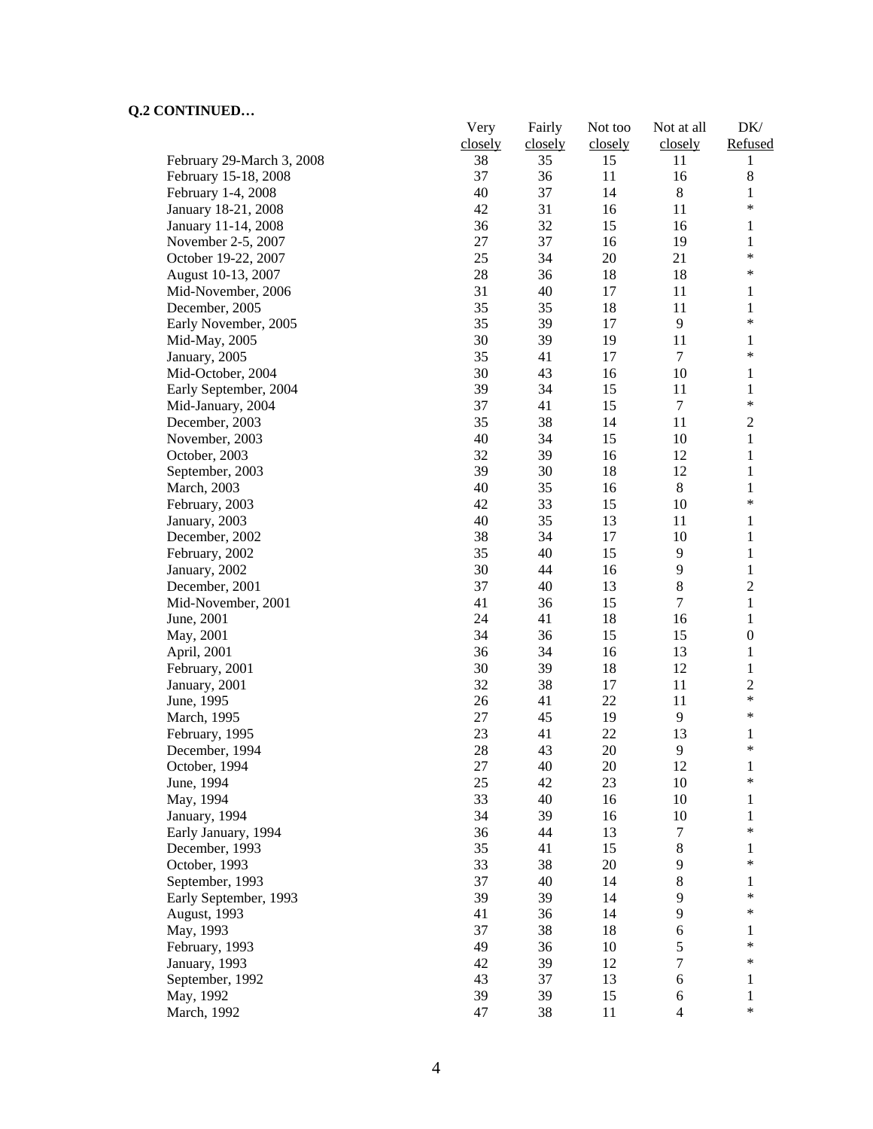# **Q.2 CONTINUED…**

|                           | Very    | Fairly  | Not too | Not at all     | DK/              |
|---------------------------|---------|---------|---------|----------------|------------------|
|                           | closely | closely | closely | closely        | Refused          |
| February 29-March 3, 2008 | 38      | 35      | 15      | 11             | 1                |
| February 15-18, 2008      | 37      | 36      | 11      | 16             | 8                |
| February 1-4, 2008        | 40      | 37      | 14      | $\,8\,$        | 1                |
| January 18-21, 2008       | 42      | 31      | 16      | 11             | $\ast$           |
| January 11-14, 2008       | 36      | 32      | 15      | 16             | 1                |
| November 2-5, 2007        | 27      | 37      | 16      | 19             | $\mathbf{1}$     |
| October 19-22, 2007       | 25      | 34      | 20      | 21             | $\ast$           |
| August 10-13, 2007        | 28      | 36      | 18      | 18             | $\ast$           |
| Mid-November, 2006        | 31      | 40      | 17      | 11             | 1                |
| December, 2005            | 35      | 35      | 18      | 11             | $\mathbf{1}$     |
| Early November, 2005      | 35      | 39      | 17      | 9              | $\ast$           |
| Mid-May, 2005             | 30      | 39      | 19      | 11             | 1                |
| January, 2005             | 35      | 41      | 17      | $\tau$         | $\ast$           |
| Mid-October, 2004         | 30      | 43      | 16      | 10             | 1                |
| Early September, 2004     | 39      | 34      | 15      | 11             | 1                |
| Mid-January, 2004         | 37      | 41      | 15      | $\tau$         | $\ast$           |
| December, 2003            | 35      | 38      | 14      | 11             | $\overline{2}$   |
| November, 2003            | 40      | 34      | 15      | 10             | $\mathbf{1}$     |
| October, 2003             | 32      | 39      | 16      | 12             | $\mathbf{1}$     |
| September, 2003           | 39      | 30      | 18      | 12             | $\mathbf{1}$     |
| March, 2003               | 40      | 35      | 16      | $\,8\,$        | $\mathbf{1}$     |
| February, 2003            | 42      | 33      | 15      | 10             | $\ast$           |
| January, 2003             | 40      | 35      | 13      | 11             | 1                |
| December, 2002            | 38      | 34      | 17      | 10             | 1                |
| February, 2002            | 35      | 40      | 15      | 9              | 1                |
| January, 2002             | 30      | 44      | 16      | 9              | $\mathbf{1}$     |
| December, 2001            | 37      | 40      | 13      | 8              | $\overline{c}$   |
| Mid-November, 2001        | 41      | 36      | 15      | $\tau$         | 1                |
| June, 2001                | 24      | 41      | 18      | 16             | 1                |
| May, 2001                 | 34      | 36      | 15      | 15             | $\boldsymbol{0}$ |
| April, 2001               | 36      | 34      | 16      | 13             | $\mathbf{1}$     |
| February, 2001            | 30      | 39      | 18      | 12             | $\mathbf{1}$     |
| January, 2001             | 32      | 38      | 17      | 11             | $\overline{c}$   |
| June, 1995                | 26      | 41      | 22      | 11             | $\ast$           |
| March, 1995               | 27      | 45      | 19      | $\overline{9}$ | $\ast$           |
| February, 1995            | 23      | 41      | 22      | 13             | 1                |
| December, 1994            | 28      | 43      | 20      | 9              | $\ast$           |
| October, 1994             | 27      | 40      | 20      | 12             |                  |
| June, 1994                | 25      | 42      | 23      | 10             | 1<br>$\ast$      |
| May, 1994                 | 33      | 40      | 16      | 10             | 1                |
| January, 1994             | 34      | 39      | 16      | 10             | 1                |
| Early January, 1994       | 36      | 44      | 13      | 7              | $\ast$           |
| December, 1993            | 35      | 41      | 15      | $8\,$          |                  |
|                           |         |         |         |                | 1<br>$\ast$      |
| October, 1993             | 33      | 38      | 20      | 9              |                  |
| September, 1993           | 37      | 40      | 14      | 8              | 1<br>∗           |
| Early September, 1993     | 39      | 39      | 14      | 9              |                  |
| August, 1993              | 41      | 36      | 14      | 9              | ∗                |
| May, 1993                 | 37      | 38      | 18      | 6              | 1<br>$\ast$      |
| February, 1993            | 49      | 36      | 10      | 5              | ∗                |
| January, 1993             | 42      | 39      | 12      | 7              |                  |
| September, 1992           | 43      | 37      | 13      | 6              | 1                |
| May, 1992                 | 39      | 39      | 15      | 6              | 1                |
| March, 1992               | 47      | 38      | 11      | $\overline{4}$ | $\ast$           |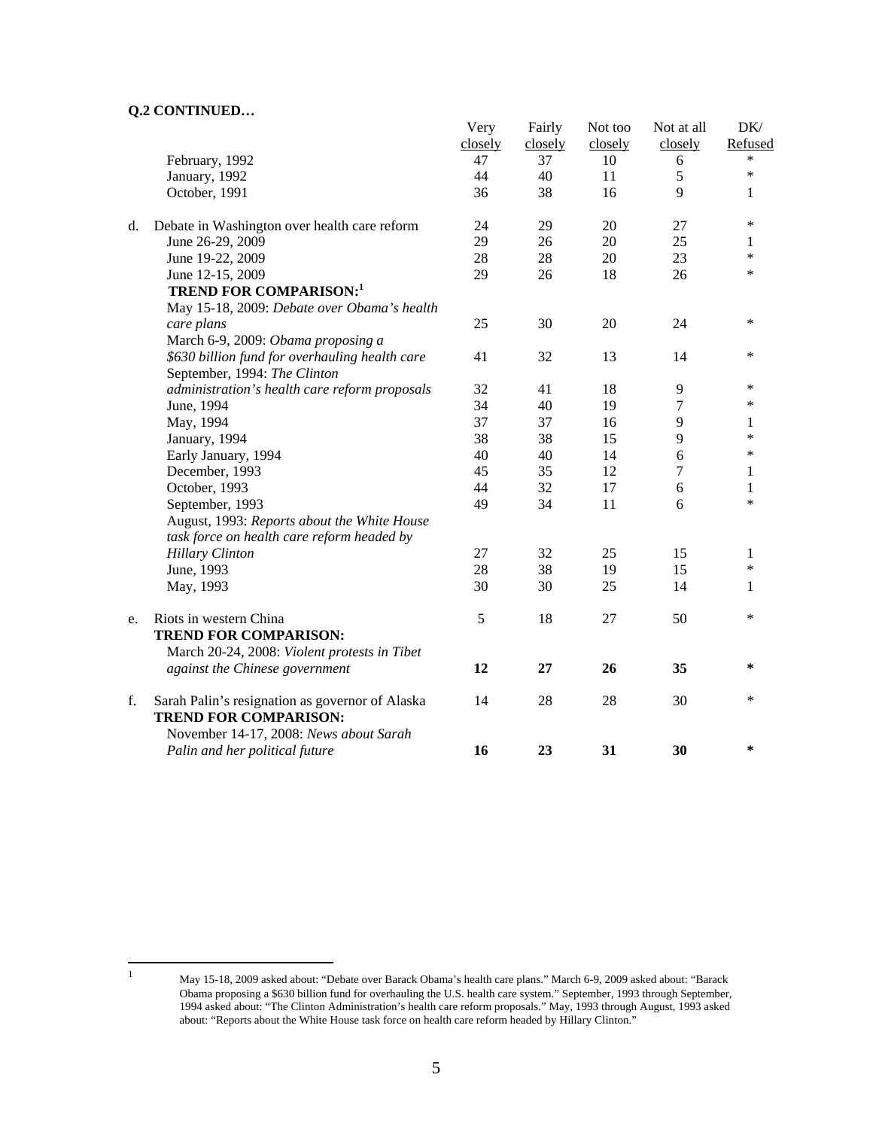### **Q.2 CONTINUED…**

|    |                                                 | Very    | Fairly  | Not too | Not at all     | DK/          |
|----|-------------------------------------------------|---------|---------|---------|----------------|--------------|
|    |                                                 | closely | closely | closely | closely        | Refused      |
|    | February, 1992                                  | 47      | 37      | 10      | 6              | *            |
|    | January, 1992                                   | 44      | 40      | 11      | $\sqrt{5}$     | $\ast$       |
|    | October, 1991                                   | 36      | 38      | 16      | 9              | 1            |
| d. | Debate in Washington over health care reform    | 24      | 29      | 20      | 27             | $\ast$       |
|    | June 26-29, 2009                                | 29      | 26      | 20      | 25             | 1            |
|    | June 19-22, 2009                                | 28      | 28      | 20      | 23             | $\ast$       |
|    | June 12-15, 2009                                | 29      | 26      | 18      | 26             | $\ast$       |
|    | <b>TREND FOR COMPARISON:1</b>                   |         |         |         |                |              |
|    | May 15-18, 2009: Debate over Obama's health     |         |         |         |                |              |
|    | care plans                                      | 25      | 30      | 20      | 24             | $\ast$       |
|    | March 6-9, 2009: Obama proposing a              |         |         |         |                |              |
|    | \$630 billion fund for overhauling health care  | 41      | 32      | 13      | 14             | $\ast$       |
|    | September, 1994: The Clinton                    |         |         |         |                |              |
|    | administration's health care reform proposals   | 32      | 41      | 18      | 9              | $\ast$       |
|    | June, 1994                                      | 34      | 40      | 19      | 7              | *            |
|    | May, 1994                                       | 37      | 37      | 16      | 9              | 1            |
|    | January, 1994                                   | 38      | 38      | 15      | 9              | $\ast$       |
|    | Early January, 1994                             | 40      | 40      | 14      | 6              | $\ast$       |
|    | December, 1993                                  | 45      | 35      | 12      | $\overline{7}$ | 1            |
|    | October, 1993                                   | 44      | 32      | 17      | 6              | $\mathbf{1}$ |
|    | September, 1993                                 | 49      | 34      | 11      | 6              | $\ast$       |
|    | August, 1993: Reports about the White House     |         |         |         |                |              |
|    | task force on health care reform headed by      |         |         |         |                |              |
|    | <b>Hillary Clinton</b>                          | 27      | 32      | 25      | 15             | 1            |
|    | June, 1993                                      | 28      | 38      | 19      | 15             | $\ast$       |
|    | May, 1993                                       | 30      | 30      | 25      | 14             | 1            |
| e. | Riots in western China                          | 5       | 18      | 27      | 50             | *            |
|    | <b>TREND FOR COMPARISON:</b>                    |         |         |         |                |              |
|    | March 20-24, 2008: Violent protests in Tibet    |         |         |         |                |              |
|    | against the Chinese government                  | 12      | 27      | 26      | 35             | $\ast$       |
| f. | Sarah Palin's resignation as governor of Alaska | 14      | 28      | 28      | 30             | $\ast$       |
|    | <b>TREND FOR COMPARISON:</b>                    |         |         |         |                |              |
|    | November 14-17, 2008: News about Sarah          |         |         |         |                |              |
|    | Palin and her political future                  | 16      | 23      | 31      | 30             | $\ast$       |

 $\frac{1}{1}$ 

May 15-18, 2009 asked about: "Debate over Barack Obama's health care plans." March 6-9, 2009 asked about: "Barack Obama proposing a \$630 billion fund for overhauling the U.S. health care system." September, 1993 through September, 1994 asked about: "The Clinton Administration's health care reform proposals." May, 1993 through August, 1993 asked about: "Reports about the White House task force on health care reform headed by Hillary Clinton."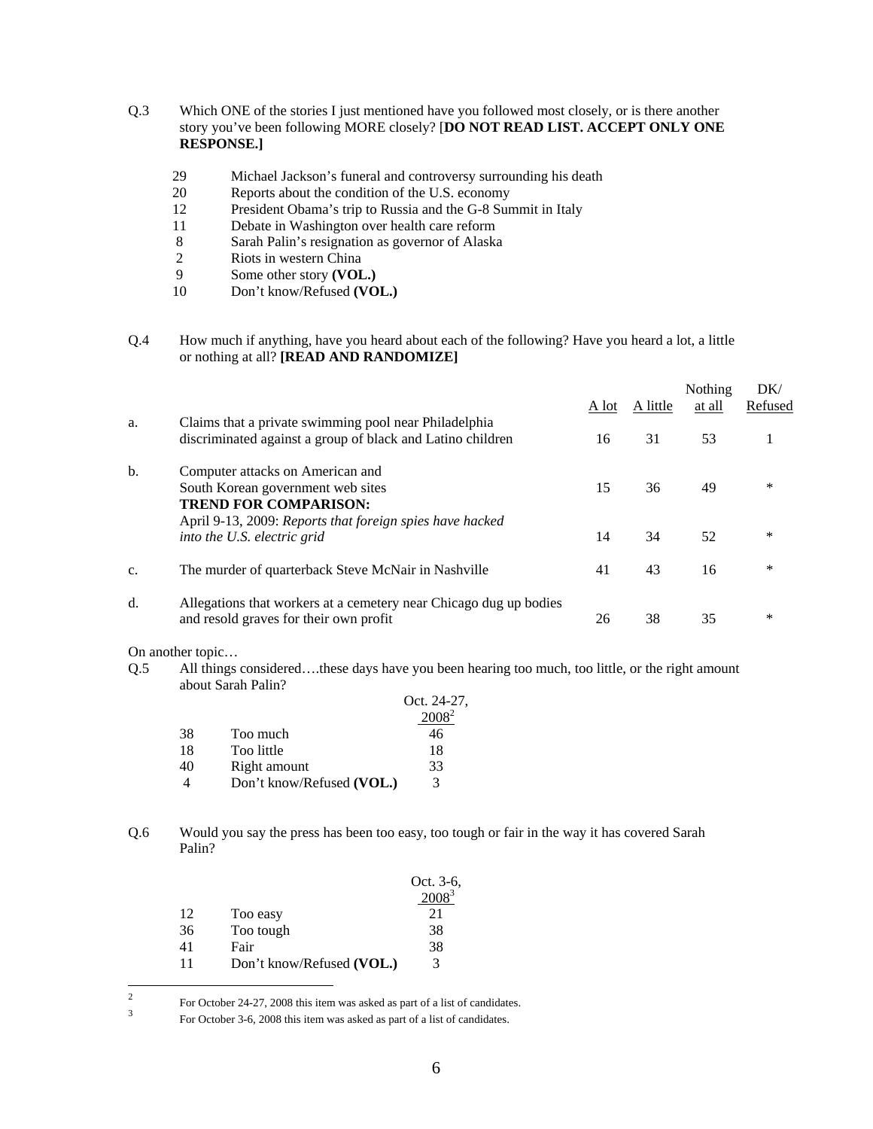- Q.3 Which ONE of the stories I just mentioned have you followed most closely, or is there another story you've been following MORE closely? [**DO NOT READ LIST. ACCEPT ONLY ONE RESPONSE.]** 
	- 29 Michael Jackson's funeral and controversy surrounding his death
	- 20 Reports about the condition of the U.S. economy
	- 12 President Obama's trip to Russia and the G-8 Summit in Italy
	- 11 Debate in Washington over health care reform
	- 8 Sarah Palin's resignation as governor of Alaska<br>2 Riots in western China
	- Riots in western China
	- 9 Some other story **(VOL.)**<br>10 Don't know/Refused **(VO**
	- 10 Don't know/Refused **(VOL.)**

#### Q.4 How much if anything, have you heard about each of the following? Have you heard a lot, a little or nothing at all? **[READ AND RANDOMIZE]**

|    |                                                                                                                                                                   | A lot | A little | Nothing<br>at all | DK/<br>Refused |
|----|-------------------------------------------------------------------------------------------------------------------------------------------------------------------|-------|----------|-------------------|----------------|
| a. | Claims that a private swimming pool near Philadelphia<br>discriminated against a group of black and Latino children                                               | 16    | 31       | 53                |                |
| b. | Computer attacks on American and<br>South Korean government web sites<br><b>TREND FOR COMPARISON:</b><br>April 9-13, 2009: Reports that foreign spies have hacked | 15    | 36       | 49                | *              |
|    | into the U.S. electric grid                                                                                                                                       | 14    | 34       | 52                | *              |
| c. | The murder of quarterback Steve McNair in Nashville                                                                                                               | 41    | 43       | 16                | *              |
| d. | Allegations that workers at a cemetery near Chicago dug up bodies<br>and resold graves for their own profit                                                       | 26    | 38       | 35                | *              |

On another topic…

Q.5 All things considered….these days have you been hearing too much, too little, or the right amount about Sarah Palin?

| Oct. 24-27,                    |  |
|--------------------------------|--|
|                                |  |
| 38<br>Too much<br>46           |  |
| 18<br>Too little<br>18         |  |
| 33<br>Right amount<br>40       |  |
| Don't know/Refused (VOL.)<br>3 |  |

Q.6 Would you say the press has been too easy, too tough or fair in the way it has covered Sarah Palin?

|    |                           | Oct. 3-6, |
|----|---------------------------|-----------|
|    |                           |           |
| 12 | Too easy                  | 21        |
| 36 | Too tough                 | 38        |
| 41 | Fair                      | 38        |
| 11 | Don't know/Refused (VOL.) | 3         |

 $\frac{1}{2}$ For October 24-27, 2008 this item was asked as part of a list of candidates.<br> $\frac{3}{2}$  For Ostober 2.6, 2008 this item was asked as part of a list of candidates.

For October 3-6, 2008 this item was asked as part of a list of candidates.